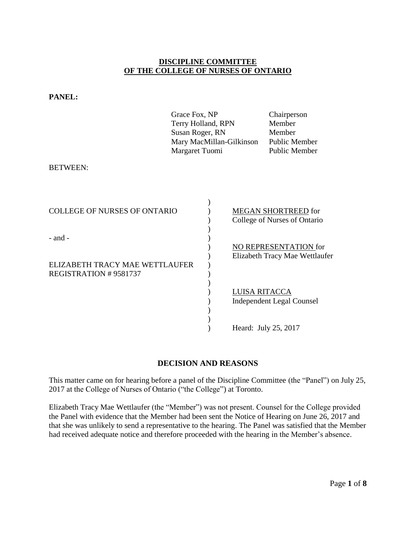# **DISCIPLINE COMMITTEE OF THE COLLEGE OF NURSES OF ONTARIO**

|                                               | Grace Fox, NP<br>Terry Holland, RPN<br>Susan Roger, RN<br>Mary MacMillan-Gilkinson<br>Margaret Tuomi |                      | Chairperson<br>Member<br>Member<br>Public Member<br><b>Public Member</b> |
|-----------------------------------------------|------------------------------------------------------------------------------------------------------|----------------------|--------------------------------------------------------------------------|
| <b>BETWEEN:</b>                               |                                                                                                      |                      |                                                                          |
| <b>COLLEGE OF NURSES OF ONTARIO</b>           |                                                                                                      |                      | <b>MEGAN SHORTREED</b> for<br>College of Nurses of Ontario               |
| $-$ and $-$<br>ELIZABETH TRACY MAE WETTLAUFER |                                                                                                      |                      | NO REPRESENTATION for<br>Elizabeth Tracy Mae Wettlaufer                  |
| <b>REGISTRATION #9581737</b>                  |                                                                                                      | <b>LUISA RITACCA</b> | <b>Independent Legal Counsel</b>                                         |
|                                               |                                                                                                      | Heard: July 25, 2017 |                                                                          |

**PANEL:** 

# **DECISION AND REASONS**

This matter came on for hearing before a panel of the Discipline Committee (the "Panel") on July 25, 2017 at the College of Nurses of Ontario ("the College") at Toronto.

Elizabeth Tracy Mae Wettlaufer (the "Member") was not present. Counsel for the College provided the Panel with evidence that the Member had been sent the Notice of Hearing on June 26, 2017 and that she was unlikely to send a representative to the hearing. The Panel was satisfied that the Member had received adequate notice and therefore proceeded with the hearing in the Member's absence.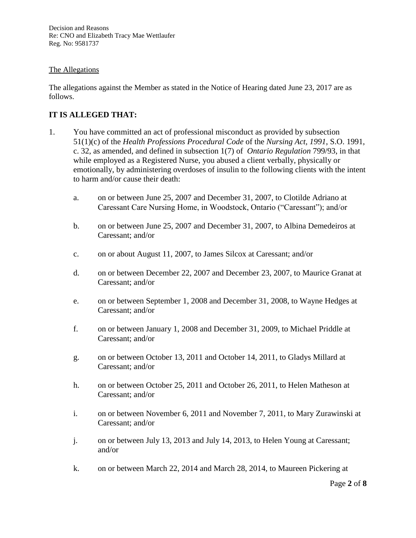Decision and Reasons Re: CNO and Elizabeth Tracy Mae Wettlaufer Reg. No: 9581737

### The Allegations

The allegations against the Member as stated in the Notice of Hearing dated June 23, 2017 are as follows.

# **IT IS ALLEGED THAT:**

- 1. You have committed an act of professional misconduct as provided by subsection 51(1)(c) of the *Health Professions Procedural Code* of the *Nursing Act, 1991*, S.O. 1991, c. 32, as amended, and defined in subsection 1(7) of *Ontario Regulation* 799/93, in that while employed as a Registered Nurse, you abused a client verbally, physically or emotionally, by administering overdoses of insulin to the following clients with the intent to harm and/or cause their death:
	- a. on or between June 25, 2007 and December 31, 2007, to Clotilde Adriano at Caressant Care Nursing Home, in Woodstock, Ontario ("Caressant"); and/or
	- b. on or between June 25, 2007 and December 31, 2007, to Albina Demedeiros at Caressant; and/or
	- c. on or about August 11, 2007, to James Silcox at Caressant; and/or
	- d. on or between December 22, 2007 and December 23, 2007, to Maurice Granat at Caressant; and/or
	- e. on or between September 1, 2008 and December 31, 2008, to Wayne Hedges at Caressant; and/or
	- f. on or between January 1, 2008 and December 31, 2009, to Michael Priddle at Caressant; and/or
	- g. on or between October 13, 2011 and October 14, 2011, to Gladys Millard at Caressant; and/or
	- h. on or between October 25, 2011 and October 26, 2011, to Helen Matheson at Caressant; and/or
	- i. on or between November 6, 2011 and November 7, 2011, to Mary Zurawinski at Caressant; and/or
	- j. on or between July 13, 2013 and July 14, 2013, to Helen Young at Caressant; and/or
	- k. on or between March 22, 2014 and March 28, 2014, to Maureen Pickering at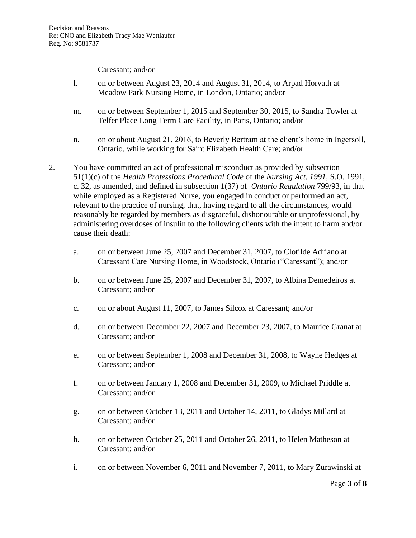Caressant; and/or

- l. on or between August 23, 2014 and August 31, 2014, to Arpad Horvath at Meadow Park Nursing Home, in London, Ontario; and/or
- m. on or between September 1, 2015 and September 30, 2015, to Sandra Towler at Telfer Place Long Term Care Facility, in Paris, Ontario; and/or
- n. on or about August 21, 2016, to Beverly Bertram at the client's home in Ingersoll, Ontario, while working for Saint Elizabeth Health Care; and/or
- 2. You have committed an act of professional misconduct as provided by subsection 51(1)(c) of the *Health Professions Procedural Code* of the *Nursing Act, 1991*, S.O. 1991, c. 32, as amended, and defined in subsection 1(37) of *Ontario Regulation* 799/93, in that while employed as a Registered Nurse, you engaged in conduct or performed an act, relevant to the practice of nursing, that, having regard to all the circumstances, would reasonably be regarded by members as disgraceful, dishonourable or unprofessional, by administering overdoses of insulin to the following clients with the intent to harm and/or cause their death:
	- a. on or between June 25, 2007 and December 31, 2007, to Clotilde Adriano at Caressant Care Nursing Home, in Woodstock, Ontario ("Caressant"); and/or
	- b. on or between June 25, 2007 and December 31, 2007, to Albina Demedeiros at Caressant; and/or
	- c. on or about August 11, 2007, to James Silcox at Caressant; and/or
	- d. on or between December 22, 2007 and December 23, 2007, to Maurice Granat at Caressant; and/or
	- e. on or between September 1, 2008 and December 31, 2008, to Wayne Hedges at Caressant; and/or
	- f. on or between January 1, 2008 and December 31, 2009, to Michael Priddle at Caressant; and/or
	- g. on or between October 13, 2011 and October 14, 2011, to Gladys Millard at Caressant; and/or
	- h. on or between October 25, 2011 and October 26, 2011, to Helen Matheson at Caressant; and/or
	- i. on or between November 6, 2011 and November 7, 2011, to Mary Zurawinski at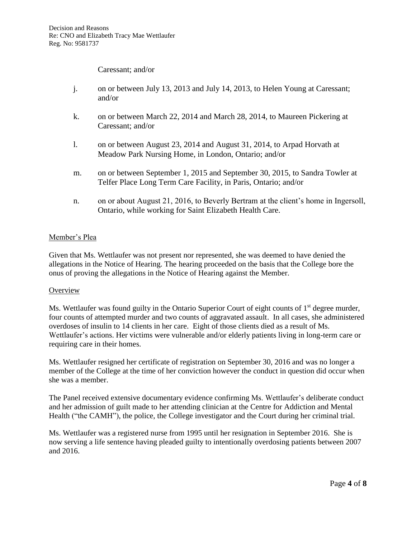Caressant; and/or

- j. on or between July 13, 2013 and July 14, 2013, to Helen Young at Caressant; and/or
- k. on or between March 22, 2014 and March 28, 2014, to Maureen Pickering at Caressant; and/or
- l. on or between August 23, 2014 and August 31, 2014, to Arpad Horvath at Meadow Park Nursing Home, in London, Ontario; and/or
- m. on or between September 1, 2015 and September 30, 2015, to Sandra Towler at Telfer Place Long Term Care Facility, in Paris, Ontario; and/or
- n. on or about August 21, 2016, to Beverly Bertram at the client's home in Ingersoll, Ontario, while working for Saint Elizabeth Health Care.

### Member's Plea

Given that Ms. Wettlaufer was not present nor represented, she was deemed to have denied the allegations in the Notice of Hearing. The hearing proceeded on the basis that the College bore the onus of proving the allegations in the Notice of Hearing against the Member.

#### **Overview**

Ms. Wettlaufer was found guilty in the Ontario Superior Court of eight counts of 1<sup>st</sup> degree murder, four counts of attempted murder and two counts of aggravated assault. In all cases, she administered overdoses of insulin to 14 clients in her care. Eight of those clients died as a result of Ms. Wettlaufer's actions. Her victims were vulnerable and/or elderly patients living in long-term care or requiring care in their homes.

Ms. Wettlaufer resigned her certificate of registration on September 30, 2016 and was no longer a member of the College at the time of her conviction however the conduct in question did occur when she was a member.

The Panel received extensive documentary evidence confirming Ms. Wettlaufer's deliberate conduct and her admission of guilt made to her attending clinician at the Centre for Addiction and Mental Health ("the CAMH"), the police, the College investigator and the Court during her criminal trial.

Ms. Wettlaufer was a registered nurse from 1995 until her resignation in September 2016. She is now serving a life sentence having pleaded guilty to intentionally overdosing patients between 2007 and 2016.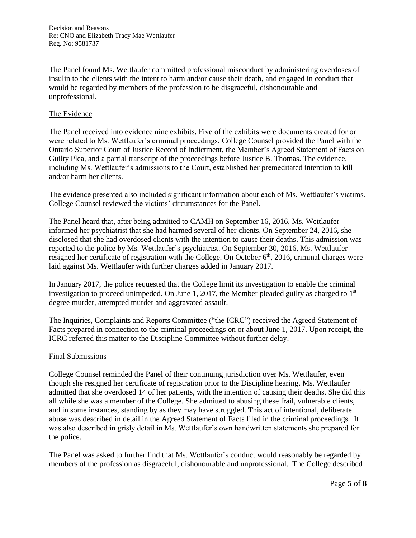Decision and Reasons Re: CNO and Elizabeth Tracy Mae Wettlaufer Reg. No: 9581737

The Panel found Ms. Wettlaufer committed professional misconduct by administering overdoses of insulin to the clients with the intent to harm and/or cause their death, and engaged in conduct that would be regarded by members of the profession to be disgraceful, dishonourable and unprofessional.

#### The Evidence

The Panel received into evidence nine exhibits. Five of the exhibits were documents created for or were related to Ms. Wettlaufer's criminal proceedings. College Counsel provided the Panel with the Ontario Superior Court of Justice Record of Indictment, the Member's Agreed Statement of Facts on Guilty Plea, and a partial transcript of the proceedings before Justice B. Thomas. The evidence, including Ms. Wettlaufer's admissions to the Court, established her premeditated intention to kill and/or harm her clients.

The evidence presented also included significant information about each of Ms. Wettlaufer's victims. College Counsel reviewed the victims' circumstances for the Panel.

The Panel heard that, after being admitted to CAMH on September 16, 2016, Ms. Wettlaufer informed her psychiatrist that she had harmed several of her clients. On September 24, 2016, she disclosed that she had overdosed clients with the intention to cause their deaths. This admission was reported to the police by Ms. Wettlaufer's psychiatrist. On September 30, 2016, Ms. Wettlaufer resigned her certificate of registration with the College. On October  $6<sup>th</sup>$ , 2016, criminal charges were laid against Ms. Wettlaufer with further charges added in January 2017.

In January 2017, the police requested that the College limit its investigation to enable the criminal investigation to proceed unimpeded. On June 1, 2017, the Member pleaded guilty as charged to  $1<sup>st</sup>$ degree murder, attempted murder and aggravated assault.

The Inquiries, Complaints and Reports Committee ("the ICRC") received the Agreed Statement of Facts prepared in connection to the criminal proceedings on or about June 1, 2017. Upon receipt, the ICRC referred this matter to the Discipline Committee without further delay.

#### Final Submissions

College Counsel reminded the Panel of their continuing jurisdiction over Ms. Wettlaufer, even though she resigned her certificate of registration prior to the Discipline hearing. Ms. Wettlaufer admitted that she overdosed 14 of her patients, with the intention of causing their deaths. She did this all while she was a member of the College. She admitted to abusing these frail, vulnerable clients, and in some instances, standing by as they may have struggled. This act of intentional, deliberate abuse was described in detail in the Agreed Statement of Facts filed in the criminal proceedings. It was also described in grisly detail in Ms. Wettlaufer's own handwritten statements she prepared for the police.

The Panel was asked to further find that Ms. Wettlaufer's conduct would reasonably be regarded by members of the profession as disgraceful, dishonourable and unprofessional. The College described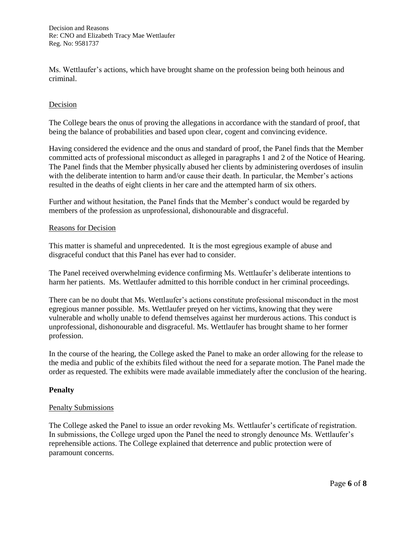Ms. Wettlaufer's actions, which have brought shame on the profession being both heinous and criminal.

### Decision

The College bears the onus of proving the allegations in accordance with the standard of proof, that being the balance of probabilities and based upon clear, cogent and convincing evidence.

Having considered the evidence and the onus and standard of proof, the Panel finds that the Member committed acts of professional misconduct as alleged in paragraphs 1 and 2 of the Notice of Hearing. The Panel finds that the Member physically abused her clients by administering overdoses of insulin with the deliberate intention to harm and/or cause their death. In particular, the Member's actions resulted in the deaths of eight clients in her care and the attempted harm of six others.

Further and without hesitation, the Panel finds that the Member's conduct would be regarded by members of the profession as unprofessional, dishonourable and disgraceful.

#### Reasons for Decision

This matter is shameful and unprecedented. It is the most egregious example of abuse and disgraceful conduct that this Panel has ever had to consider.

The Panel received overwhelming evidence confirming Ms. Wettlaufer's deliberate intentions to harm her patients. Ms. Wettlaufer admitted to this horrible conduct in her criminal proceedings.

There can be no doubt that Ms. Wettlaufer's actions constitute professional misconduct in the most egregious manner possible. Ms. Wettlaufer preyed on her victims, knowing that they were vulnerable and wholly unable to defend themselves against her murderous actions. This conduct is unprofessional, dishonourable and disgraceful. Ms. Wettlaufer has brought shame to her former profession.

In the course of the hearing, the College asked the Panel to make an order allowing for the release to the media and public of the exhibits filed without the need for a separate motion. The Panel made the order as requested. The exhibits were made available immediately after the conclusion of the hearing.

#### **Penalty**

#### Penalty Submissions

The College asked the Panel to issue an order revoking Ms. Wettlaufer's certificate of registration. In submissions, the College urged upon the Panel the need to strongly denounce Ms. Wettlaufer's reprehensible actions. The College explained that deterrence and public protection were of paramount concerns.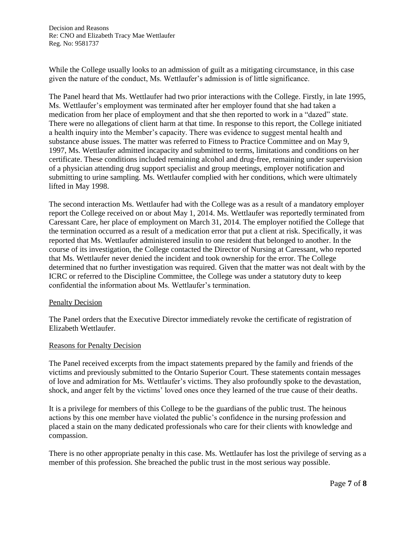Decision and Reasons Re: CNO and Elizabeth Tracy Mae Wettlaufer Reg. No: 9581737

While the College usually looks to an admission of guilt as a mitigating circumstance, in this case given the nature of the conduct, Ms. Wettlaufer's admission is of little significance.

The Panel heard that Ms. Wettlaufer had two prior interactions with the College. Firstly, in late 1995, Ms. Wettlaufer's employment was terminated after her employer found that she had taken a medication from her place of employment and that she then reported to work in a "dazed" state. There were no allegations of client harm at that time. In response to this report, the College initiated a health inquiry into the Member's capacity. There was evidence to suggest mental health and substance abuse issues. The matter was referred to Fitness to Practice Committee and on May 9, 1997, Ms. Wettlaufer admitted incapacity and submitted to terms, limitations and conditions on her certificate. These conditions included remaining alcohol and drug-free, remaining under supervision of a physician attending drug support specialist and group meetings, employer notification and submitting to urine sampling. Ms. Wettlaufer complied with her conditions, which were ultimately lifted in May 1998.

The second interaction Ms. Wettlaufer had with the College was as a result of a mandatory employer report the College received on or about May 1, 2014. Ms. Wettlaufer was reportedly terminated from Caressant Care, her place of employment on March 31, 2014. The employer notified the College that the termination occurred as a result of a medication error that put a client at risk. Specifically, it was reported that Ms. Wettlaufer administered insulin to one resident that belonged to another. In the course of its investigation, the College contacted the Director of Nursing at Caressant, who reported that Ms. Wettlaufer never denied the incident and took ownership for the error. The College determined that no further investigation was required. Given that the matter was not dealt with by the ICRC or referred to the Discipline Committee, the College was under a statutory duty to keep confidential the information about Ms. Wettlaufer's termination.

#### Penalty Decision

The Panel orders that the Executive Director immediately revoke the certificate of registration of Elizabeth Wettlaufer.

#### Reasons for Penalty Decision

The Panel received excerpts from the impact statements prepared by the family and friends of the victims and previously submitted to the Ontario Superior Court. These statements contain messages of love and admiration for Ms. Wettlaufer's victims. They also profoundly spoke to the devastation, shock, and anger felt by the victims' loved ones once they learned of the true cause of their deaths.

It is a privilege for members of this College to be the guardians of the public trust. The heinous actions by this one member have violated the public's confidence in the nursing profession and placed a stain on the many dedicated professionals who care for their clients with knowledge and compassion.

There is no other appropriate penalty in this case. Ms. Wettlaufer has lost the privilege of serving as a member of this profession. She breached the public trust in the most serious way possible.